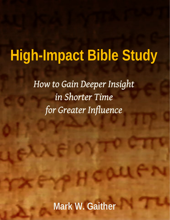# **High-Impact Bible Study**

*How to Gain Deeper Insight in Shorter Time for Greater Influence*

**Mark W. Gaither**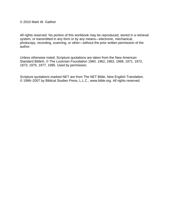© 2010 Mark W. Gaither

All rights reserved. No portion of this workbook may be reproduced, stored in a retrieval system, or transmitted in any form or by any means—electronic, mechanical, photocopy, recording, scanning, or other—without the prior written permission of the author.

Unless otherwise noted, Scripture quotations are taken from the New American Standard Bible®, © The Lockman Foundation 1960, 1962, 1963, 1968, 1971, 1972, 1973, 1975, 1977, 1995. Used by permission.

Scripture quotations marked NET are from The NET Bible, New English Translation. © 1996–2007 by Biblical Studies Press, L.L.C., www.bible.org. All rights reserved.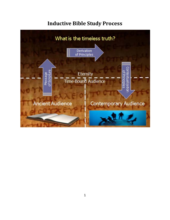#### **Inductive Bible Study Process**

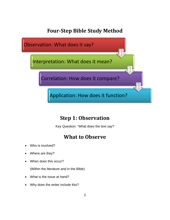#### **Four‐Step Bible Study Method**



### **Step 1: Observation**

Key Question: "What does the text *say*?

### **What to Observe**

- Who is involved?
- Where are they?
- When does this occur?

(Within the literature and in the Bible)

- What is the issue at hand?
- Why does the writer include this?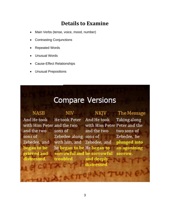#### **Details to Examine**

- Main Verbs (tense, voice, mood, number)
- Contrasting Conjunctions
- Repeated Words
- Unusual Words
- Cause-Effect Relationships
- Unusual Prepositions

## **Compare Versions**

| <b>NASB</b>                | NIV                        | <b>NKJV</b>                  | The Message  |
|----------------------------|----------------------------|------------------------------|--------------|
| And He took                | <b>He took Peter</b>       | And He took                  | Taking along |
| with Him Peter and the two |                            | with Him Peter Peter and the |              |
| and the two                | sons of                    | and the two                  | two sons of  |
| sons of                    | Zebedee along sons of      |                              | Zebedee, he  |
| Zebedee, and               | with him, and Zebedee, and |                              | plunged into |
| began to be                | he began to be He began to |                              | an agonizing |
| grieved and                | sorrowful and be sorrowful |                              | sorrow.      |
| distressed.                | troubled.                  | and deeply                   |              |
|                            |                            | distressed.                  |              |
|                            |                            |                              |              |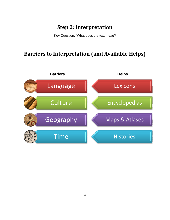#### **Step 2: Interpretation**

Key Question: "What does the text *mean*?

#### **Barriers to Interpretation (and Available Helps)**